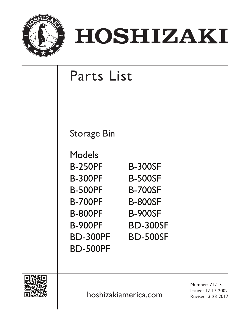

# HOSHIZAKI

## Parts List

Storage Bin

| Models          |                 |
|-----------------|-----------------|
| <b>B-250PF</b>  | <b>B-300SF</b>  |
| <b>B-300PF</b>  | <b>B-500SF</b>  |
| <b>B-500PF</b>  | <b>B-700SF</b>  |
| <b>B-700PF</b>  | <b>B-800SF</b>  |
| <b>B-800PF</b>  | <b>B-900SF</b>  |
| <b>B-900PF</b>  | <b>BD-300SF</b> |
| <b>BD-300PF</b> | <b>BD-500SF</b> |
| <b>BD-500PF</b> |                 |



Issued: 12-17-2002<br>Revised: 3-23-2017 Revised: 3-23-2017

Number: 71213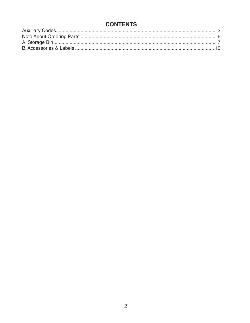### **CONTENTS**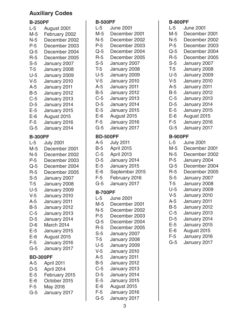### <span id="page-2-0"></span>**Auxiliary Codes**

### **B-250PF**

| L-5             | August 2001              |
|-----------------|--------------------------|
| M-5             | February 2002            |
| N-5             | December 2002            |
| $P-5$           | December 2003            |
| $Q-5$           | December 2004            |
| $R-5$           | December 2005            |
| $S-5$           | January 2007             |
| T-5             | January 2008             |
| $U-5$           | January 2009             |
| V-5             | January 2010             |
| $A-5$           | January 2011             |
| $B-5$           | January 2012             |
| $C-5$           | January 2013             |
| $D-5$           | January 2014             |
| $E-5$           | January 2015             |
| E-6             | August 2015              |
| $F-5$           | January 2016             |
| $G-5$           | January 2014             |
| <b>B-300PF</b>  |                          |
| $L-5$           | <b>July 2001</b>         |
| M-5             | December 2001            |
| N-5             | December 2002            |
| $P-5$           | December 2003            |
| $Q-5$           | December 2004            |
| $R-5$           | December 2005            |
| $S-5$           | January 2007             |
| T-5             | January 2008             |
| $U-5$           | January 2009             |
| $V-5$           | January 2010             |
| $A-5$           | January 2011             |
| $B-5$           | January 2012             |
| $C-5$           | January 2013             |
| $D-5$           | January 2014             |
| D-6             | March 2014               |
| $E-5$           | January 2015             |
| $E-6$           | August 2015              |
|                 |                          |
| $F-5$           | January 2016             |
| $G-5$           | January 2017             |
| <b>BD-300PF</b> |                          |
| $A-5$           | April 2011               |
| $D-5$           | April 2014               |
| $E-5$           | February 2015            |
| $E-6$           | October 2015             |
| $F-5$<br>$G-5$  | May 2016<br>January 2017 |

### **B-500PF**

| D-JUULL         |                  |
|-----------------|------------------|
| $L-5$           | <b>June 2001</b> |
| M-5             | December 2001    |
| N-5             | December 2002    |
| P-5             | December 2003    |
| $Q-5$           | December 2004    |
| $R-5$           | December 2005    |
| $S-5$           |                  |
|                 | January 2007     |
| $T-5$           | January 2008     |
| $U-5$           | January 2009     |
| V-5             | January 2010     |
| $A-5$           | January 2011     |
| <b>B-5</b>      | January 2012     |
| $C-5$           | January 2013     |
| D-5             | January 2014     |
| $E-5$           | January 2015     |
| E-6             | August 2015      |
| $F-5$           |                  |
|                 | January 2016     |
| $G-5$           | January 2017     |
| <b>BD-500PF</b> |                  |
| A-5             | <b>July 2011</b> |
| B-5             | April 2015       |
| $C-5$           |                  |
|                 | April 2013       |
| $D-5$           | January 2014     |
| E-5             | January 2015     |
| E-6             | September 2015   |
| F-5             | February 2016    |
| $G-5$           | January 2017     |
| <b>B-700PF</b>  |                  |
|                 |                  |
| L-5             | <b>June 2001</b> |
| M-5             | December 2001    |
| N-5             | December 2002    |
| $P-5$           | December 2003    |
| $Q-5$           | December 2004    |
| $R-5$           | December 2005    |
| $S-5$           | January 2007     |
| $T-5$           | January 2008     |
| $U-5$           | January 2009     |
| $V-5$           | January 2010     |
| A-5             | January 2011     |
|                 |                  |
| $B-5$           | January 2012     |
| $C-5$           | January 2013     |
| $D-5$           | January 2014     |
| $E-5$           | January 2015     |
| $E-6$           |                  |
|                 | August 2015      |
| $F-5$           | January 2016     |

### **B-800PF**

| $L-5$          | <b>June 2001</b> |
|----------------|------------------|
| M-5            | December 2001    |
| N-5            | December 2002    |
| $P-5$          | December 2003    |
| Q-5            | December 2004    |
| $R-5$          | December 2005    |
| $S-5$          | January 2007     |
| $T-5$          | January 2008     |
| $U-5$          | January 2009     |
| $V-5$          | January 2010     |
| $A-5$          | January 2011     |
| $B-5$          | January 2012     |
| $C-5$          | January 2013     |
| $D-5$          | January 2014     |
| $E-5$          | January 2015     |
| $E-6$          | August 2015      |
| $F-5$          | January 2016     |
| $G-5$          | January 2017     |
| <b>B-900PF</b> |                  |
| $L-5$          | <b>June 2001</b> |
| M-5            | December 2001    |
| N-5            | December 2002    |
| $P-5$          | January 2004     |
| $Q-5$          | December 2004    |
| $R-5$          | December 2005    |
| $S-5$          | January 2007     |
| $T-5$          | January 2008     |
| U-5            | January 2009     |
| $V-5$          | January 2010     |
| $A-5$          | January 2011     |
| $B-5$          | January 2012     |
| $C-5$          | January 2013     |
| $D-5$          | January 2014     |
| $E-5$          | January 2015     |
| $E-6$          | August 2015      |
| $F-5$          | January 2016     |
| $G-5$          | January 2017     |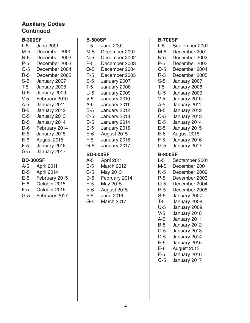### **Auxiliary Codes Continued**

### **B-300SF**

| $L-5$           | <b>June 2001</b> |
|-----------------|------------------|
| M-5             | December 2001    |
| N-5             | December 2002    |
| $P-5$           | December 2003    |
| $Q-5$           | December 2004    |
| R-5             | December 2005    |
| $S-5$           | January 2007     |
| $T-5$           | January 2008     |
| U-5             | January 2009     |
| V-5             | February 2010    |
| A-5             | January 2011     |
| $B-5$           | January 2012     |
| $C-5$           | January 2013     |
| $D-5$           | January 2014     |
| D-6             | February 2014    |
| $E-5$           | January 2015     |
| $E-6$           | August 2015      |
| $F-5$           | January 2016     |
| $G-5$           | January 2017     |
| <b>BD-300SF</b> |                  |
| A-5             | April 2011       |
| D-5             | April 2014       |
|                 |                  |

- E-5 February 2015 E-6 October 2015
- F-5 October 2016
- G-5 February 2017

### **B-500SF**

| L-5             | <b>June 2001</b> |  |  |  |  |  |  |  |  |
|-----------------|------------------|--|--|--|--|--|--|--|--|
| M-5             | December 2001    |  |  |  |  |  |  |  |  |
| N-5             | December 2002    |  |  |  |  |  |  |  |  |
| P-5             | December 2003    |  |  |  |  |  |  |  |  |
| $Q-5$           | December 2004    |  |  |  |  |  |  |  |  |
| R-5             | December 2005    |  |  |  |  |  |  |  |  |
| $S-5$           | January 2007     |  |  |  |  |  |  |  |  |
| $T-5$           | January 2008     |  |  |  |  |  |  |  |  |
| U-5             | January 2009     |  |  |  |  |  |  |  |  |
| $V-5$           | January 2010     |  |  |  |  |  |  |  |  |
| $A-5$           | January 2011     |  |  |  |  |  |  |  |  |
| B-5             | January 2012     |  |  |  |  |  |  |  |  |
| C-5             | January 2013     |  |  |  |  |  |  |  |  |
| D-5             | January 2014     |  |  |  |  |  |  |  |  |
| E-5             | January 2015     |  |  |  |  |  |  |  |  |
| E-6             | August 2015      |  |  |  |  |  |  |  |  |
| F-5             | January 2016     |  |  |  |  |  |  |  |  |
| G-5             | January 2017     |  |  |  |  |  |  |  |  |
| <b>BD-500SF</b> |                  |  |  |  |  |  |  |  |  |

- A-5 April 2011
- B-5 March 2012
- C-5 May 2013
- D-5 February 2014
- E-5 May 2015
- E-6 August 2015
- F-5 June 2016
- G-5 March 2017

### **B-700SF**

- L-5 September 2001 M-5 December 2001
- N-5 December 2002
- P-5 December 2003
- Q-5 December 2004
- R-5 December 2005
- S-5 January 2007
- T-5 January 2008
- U-5 January 2009
- V-5 January 2010
- A-5 January 2011
- B-5 January 2012
- C-5 January 2013
- D-5 January 2014
- E-5 January 2015
- E-6 August 2015
- F-5 January 2016
- G-5 January 2017

### **B-800SF**

- L-5 September 2001
- M-5 December 2001
- N-5 December 2002
- P-5 December 2003
- Q-5 December 2004
- R-5 December 2005
- S-5 January 2007
- T-5 January 2008
- U-5 January 2009
- V-5 January 2010
- A-5 January 2011
- B-5 January 2012
- C-5 January 2013
- D-5 January 2014
- E-5 January 2015
- E-6 August 2015
- F-5 January 2016
- G-5 January 2017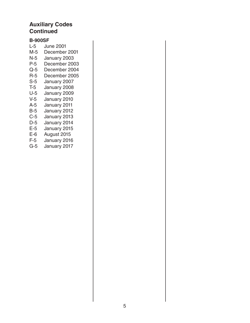### **Auxiliary Codes Continued**

### **B-900SF**

L-5 June 2001 M-5 December 2001<br>N-5 January 2003 N-5 January 2003<br>P-5 December 200 December 2003 Q-5 December 2004 R-5 December 2005 S-5 January 2007<br>T-5 January 2008 January 2008 U-5 January 2009 V-5 January 2010 A-5 January 2011 B-5 January 2012 C-5 January 2013<br>D-5 January 2014 January 2014 E-5 January 2015 E-6 August 2015 F-5 January 2016 G-5 January 2017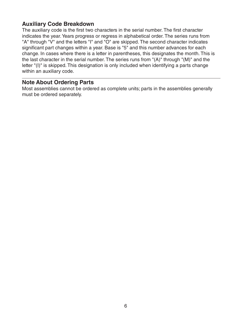### <span id="page-5-0"></span>**Auxiliary Code Breakdown**

The auxiliary code is the first two characters in the serial number. The first character indicates the year. Years progress or regress in alphabetical order. The series runs from "A" through "V" and the letters "I" and "O" are skipped. The second character indicates significant part changes within a year. Base is "5" and this number advances for each change. In cases where there is a letter in parentheses, this designates the month. This is the last character in the serial number. The series runs from "(A)" through "(M)" and the letter "(I)" is skipped. This designation is only included when identifying a parts change within an auxiliary code.

### **Note About Ordering Parts**

Most assemblies cannot be ordered as complete units; parts in the assemblies generally must be ordered separately.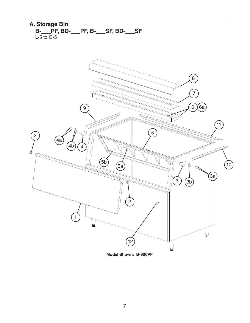### <span id="page-6-0"></span>**A. Storage Bin B-\_\_\_PF, BD-\_\_\_PF, B-\_\_\_SF, BD-\_\_\_SF** L-5 to G-5

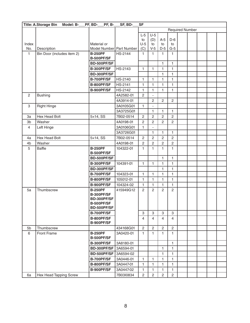|                | <b>Title: A.Storage Bin</b><br>Model: B- | PF, BD-<br>PF, B-         | SF, BD-        | <b>SF</b>              |                          |                |                |  |  |  |  |  |
|----------------|------------------------------------------|---------------------------|----------------|------------------------|--------------------------|----------------|----------------|--|--|--|--|--|
|                |                                          |                           |                | <b>Required Number</b> |                          |                |                |  |  |  |  |  |
|                |                                          |                           |                | $L-5$                  | $U-5$                    |                |                |  |  |  |  |  |
|                |                                          |                           |                | to                     | (D)                      | $A-5$          | $D-6$          |  |  |  |  |  |
| Index          |                                          | Material or               |                | $U-5$                  | to                       | to             | to             |  |  |  |  |  |
| No.            | Description                              | Model Number Part Number  |                | (C)                    | $V-5$                    | $D-5$          | $G-5$          |  |  |  |  |  |
| 1              | Bin Door (includes item 2)               | <b>B-250PF</b>            | HS-2144        | 1                      | 1.                       | 1              | 1              |  |  |  |  |  |
|                |                                          | <b>B-500PF/SF</b>         |                |                        |                          |                |                |  |  |  |  |  |
|                |                                          | BD-500PF/SF               |                |                        |                          | 1              | 1              |  |  |  |  |  |
|                |                                          | B-300PF/SF                | HS-2143        | $\mathbf{1}$           | 1                        | 1              | 1              |  |  |  |  |  |
|                |                                          | BD-300PF/SF               |                |                        |                          | 1              | 1              |  |  |  |  |  |
|                |                                          | <b>B-700PF/SF</b>         | HS-2140        | 1                      | 1                        | $\mathbf{1}$   | 1              |  |  |  |  |  |
|                |                                          | B-800PF/SF                | <b>HS-2141</b> | $\mathbf{1}$           | 1                        | 1              | 1              |  |  |  |  |  |
|                |                                          | B-900PF/SF                | <b>HS-2142</b> | 1                      | 1                        | $\mathbf{1}$   | 1              |  |  |  |  |  |
| $\mathbf{2}$   | <b>Bushing</b>                           |                           | 4A2582-01      | $\overline{c}$         |                          |                |                |  |  |  |  |  |
|                |                                          |                           | 4A3914-01      |                        | 2                        | 2              | $\mathbf{2}$   |  |  |  |  |  |
| 3              | <b>Right Hinge</b>                       |                           | 3A0105G01      | 1                      | $\overline{\phantom{a}}$ |                |                |  |  |  |  |  |
|                |                                          |                           | 3A3725G01      |                        | 1                        | $\mathbf{1}$   | 1              |  |  |  |  |  |
| 3a             | Hex Head Bolt                            | $5\times14$ , SS          | 7B02-0514      | $\overline{c}$         | $\overline{c}$           | $\overline{2}$ | $\overline{2}$ |  |  |  |  |  |
| 3b             | Washer                                   |                           | 4A0198-01      | $\overline{2}$         | 2                        | $\overline{2}$ | $\overline{2}$ |  |  |  |  |  |
| $\overline{4}$ | Left Hinge                               |                           | 3A0106G01      | $\mathbf{1}$           |                          |                |                |  |  |  |  |  |
|                |                                          |                           | 3A3726G01      |                        | 1                        | 1              | 1              |  |  |  |  |  |
| 4a             | Hex Head Bolt                            | 5×14, SS                  | 7B02-0514      | $\overline{2}$         | 2                        | $\overline{2}$ | $\overline{2}$ |  |  |  |  |  |
| 4 <sub>b</sub> | Washer                                   |                           | 4A0198-01      | $\sqrt{2}$             | 2                        | $\overline{c}$ | $\overline{c}$ |  |  |  |  |  |
| 5              | <b>Baffle</b>                            | <b>B-250PF</b>            | 104322-01      | 1                      | 1                        | 1              | 1              |  |  |  |  |  |
|                |                                          | <b>B-500PF/SF</b>         |                |                        |                          |                |                |  |  |  |  |  |
|                |                                          | BD-500PF/SF               |                |                        |                          | 1              | $\mathbf{1}$   |  |  |  |  |  |
|                |                                          | <b>B-300PF/SF</b>         | 104391-01      | 1                      | 1                        | $\mathbf{1}$   | 1              |  |  |  |  |  |
|                |                                          | BD-300PF/SF               |                |                        |                          | $\mathbf{1}$   | 1              |  |  |  |  |  |
|                |                                          | B-700PF/SF                | 104323-01      | 1                      | 1                        | 1              | 1              |  |  |  |  |  |
|                |                                          | B-800PF/SF                | 105012-01      | 1                      | 1                        | $\mathbf{1}$   | 1              |  |  |  |  |  |
|                |                                          | B-900PF/SF                | 104324-02      | $\mathbf{1}$           | 1                        | 1              | $\mathbf{1}$   |  |  |  |  |  |
| 5a             | Thumbscrew                               | <b>B-250PF</b>            | 415949G12      | $\mathbf{2}$           | 2                        | $\overline{2}$ | $\overline{c}$ |  |  |  |  |  |
|                |                                          | B-300PF/SF                |                |                        |                          |                |                |  |  |  |  |  |
|                |                                          | BD-300PF/SF<br>B-500PF/SF |                |                        |                          |                |                |  |  |  |  |  |
|                |                                          | BD-500PF/SF               |                |                        |                          |                |                |  |  |  |  |  |
|                |                                          | B-700PF/SF                |                | 3                      | 3                        | 3              | 3              |  |  |  |  |  |
|                |                                          | <b>B-800PF/SF</b>         |                | 4                      | 4                        | 4              | 4              |  |  |  |  |  |
|                |                                          | B-900PF/SF                |                |                        |                          |                |                |  |  |  |  |  |
| 5b             | Thumbscrew                               |                           | 434168G01      | $\overline{c}$         | $\overline{c}$           | $\overline{2}$ | $\mathbf{2}$   |  |  |  |  |  |
| 6              | Front Frame                              | <b>B-250PF</b>            | 3A0420-01      | 1                      | 1.                       | 1              | 1.             |  |  |  |  |  |
|                |                                          | <b>B-500PF/SF</b>         |                |                        |                          |                |                |  |  |  |  |  |
|                |                                          | B-300PF/SF                | 3A8180-01      |                        |                          |                | 1              |  |  |  |  |  |
|                |                                          | BD-300PF/SF               | 3A6594-01      |                        |                          | 1              | 1              |  |  |  |  |  |
|                |                                          | BD-500PF/SF               | 3A6594-02      |                        |                          | 1              | 1              |  |  |  |  |  |
|                |                                          | B-700PF/SF                | 3A0446-01      | 1                      | 1                        | $\mathbf{1}$   | 1              |  |  |  |  |  |
|                |                                          | B-800PF/SF                | 3A0447-01      | 1                      | 1                        | 1              | 1.             |  |  |  |  |  |
|                |                                          | B-900PF/SF                | 3A0447-02      | 1                      | 1                        | 1              | 1              |  |  |  |  |  |
| 6a             | Hex Head Tapping Screw                   |                           | 7B03I0834      | $\overline{c}$         | $\overline{c}$           | $\overline{c}$ | $\mathbf{2}$   |  |  |  |  |  |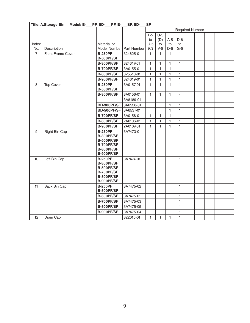|                | <b>Title: A.Storage Bin</b><br>Model: B- | PF, BD-<br><b>PF, B-</b>                                                                           | SF, BD-   | <b>SF</b>    |              |              |                          |  |  |  |
|----------------|------------------------------------------|----------------------------------------------------------------------------------------------------|-----------|--------------|--------------|--------------|--------------------------|--|--|--|
|                |                                          |                                                                                                    |           |              |              |              | <b>Required Number</b>   |  |  |  |
|                |                                          |                                                                                                    |           | $L-5$        | $U-5$        |              |                          |  |  |  |
|                |                                          |                                                                                                    |           | to           | (D)          | $A-5$        | $D-6$                    |  |  |  |
| Index          |                                          | Material or                                                                                        |           | $U-5$        | to           | to           | to                       |  |  |  |
| No.            | Description                              | Model Number Part Number                                                                           |           | (C)          | $V-5$        | $D-5$        | $G-5$                    |  |  |  |
| $\overline{7}$ | Front Frame Cover                        | <b>B-250PF</b><br><b>B-500PF/SF</b>                                                                | 324625-01 | $\mathbf{1}$ | 1            | 1            | 1                        |  |  |  |
|                |                                          | <b>B-300PF/SF</b>                                                                                  | 324617-01 | $\mathbf{1}$ | 1            | 1            | 1                        |  |  |  |
|                |                                          | <b>B-700PF/SF</b>                                                                                  | 3A0155-01 | $\mathbf{1}$ | 1            | 1            | $\mathbf{1}$             |  |  |  |
|                |                                          | B-800PF/SF                                                                                         | 325510-01 | $\mathbf{1}$ | 1            | 1            | $\mathbf{1}$             |  |  |  |
|                |                                          | B-900PF/SF                                                                                         | 324619-01 | $\mathbf{1}$ | 1            | 1            | $\mathbf{1}$             |  |  |  |
| 8              | <b>Top Cover</b>                         | <b>B-250PF</b><br><b>B-500PF/SF</b>                                                                | 3A0157-01 | $\mathbf{1}$ | $\mathbf{1}$ | 1            | $\mathbf{1}$             |  |  |  |
|                |                                          | B-300PF/SF                                                                                         | 3A0156-01 | $\mathbf{1}$ | 1            | 1            | $\overline{\phantom{a}}$ |  |  |  |
|                |                                          |                                                                                                    | 3A8189-01 |              |              |              | $\mathbf{1}$             |  |  |  |
|                |                                          | BD-300PF/SF                                                                                        | 3A6538-01 |              |              | $\mathbf{1}$ | $\mathbf{1}$             |  |  |  |
|                |                                          | BD-500PF/SF                                                                                        | 3A6537-01 |              |              | 1            | $\mathbf{1}$             |  |  |  |
|                |                                          | <b>B-700PF/SF</b>                                                                                  | 3A0158-01 | $\mathbf{1}$ | 1            | 1            | $\mathbf{1}$             |  |  |  |
|                |                                          | B-800PF/SF                                                                                         | 2A0106-01 | $\mathbf{1}$ | $\mathbf{1}$ | $\mathbf{1}$ | $\mathbf{1}$             |  |  |  |
|                |                                          | B-900PF/SF                                                                                         | 2A0107-01 | $\mathbf{1}$ | $\mathbf{1}$ | $\mathbf{1}$ | $\mathbf{1}$             |  |  |  |
| $9\,$          | <b>Right Bin Cap</b>                     | <b>B-250PF</b><br><b>B-300PF/SF</b><br>B-500PF/SF<br>B-700PF/SF<br>B-800PF/SF<br>B-900PF/SF        | 3A7473-01 |              |              |              | $\mathbf{1}$             |  |  |  |
| 10             | Left Bin Cap                             | <b>B-250PF</b><br><b>B-300PF/SF</b><br><b>B-500PF/SF</b><br>B-700PF/SF<br>B-800PF/SF<br>B-900PF/SF | 3A7474-01 |              |              |              | 1                        |  |  |  |
| 11             | Back Bin Cap                             | <b>B-250PF</b><br><b>B-500PF/SF</b>                                                                | 3A7475-02 |              |              |              | 1                        |  |  |  |
|                |                                          | <b>B-300PF/SF</b>                                                                                  | 3A7475-01 |              |              |              | $\mathbf{1}$             |  |  |  |
|                |                                          | B-700PF/SF                                                                                         | 3A7475-03 |              |              |              | $\mathbf{1}$             |  |  |  |
|                |                                          | B-800PF/SF                                                                                         | 3A7475-05 |              |              |              | 1                        |  |  |  |
|                |                                          | B-900PF/SF                                                                                         | 3A7475-04 |              |              |              | 1                        |  |  |  |
| 12             | Drain Cap                                |                                                                                                    | 322015-01 | $\mathbf{1}$ | 1            | 1            | $\mathbf{1}$             |  |  |  |